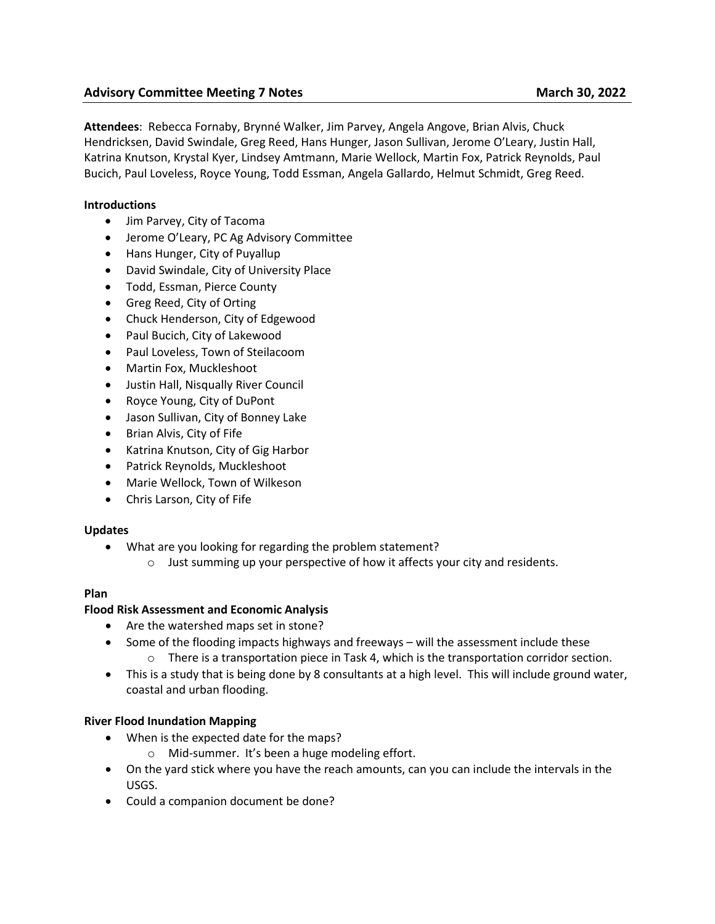# **Advisory Committee Meeting 7 Notes March 30, 2022**

**Attendees**: Rebecca Fornaby, Brynné Walker, Jim Parvey, Angela Angove, Brian Alvis, Chuck Hendricksen, David Swindale, Greg Reed, Hans Hunger, Jason Sullivan, Jerome O'Leary, Justin Hall, Katrina Knutson, Krystal Kyer, Lindsey Amtmann, Marie Wellock, Martin Fox, Patrick Reynolds, Paul Bucich, Paul Loveless, Royce Young, Todd Essman, Angela Gallardo, Helmut Schmidt, Greg Reed.

# **Introductions**

- Jim Parvey, City of Tacoma
- Jerome O'Leary, PC Ag Advisory Committee
- Hans Hunger, City of Puyallup
- David Swindale, City of University Place
- Todd, Essman, Pierce County
- Greg Reed, City of Orting
- Chuck Henderson, City of Edgewood
- Paul Bucich, City of Lakewood
- Paul Loveless, Town of Steilacoom
- Martin Fox, Muckleshoot
- Justin Hall, Nisqually River Council
- Royce Young, City of DuPont
- Jason Sullivan, City of Bonney Lake
- Brian Alvis, City of Fife
- Katrina Knutson, City of Gig Harbor
- Patrick Reynolds, Muckleshoot
- Marie Wellock, Town of Wilkeson
- Chris Larson, City of Fife

# **Updates**

- What are you looking for regarding the problem statement?
	- o Just summing up your perspective of how it affects your city and residents.

# **Plan**

# **Flood Risk Assessment and Economic Analysis**

- Are the watershed maps set in stone?
- Some of the flooding impacts highways and freeways will the assessment include these
	- $\circ$  There is a transportation piece in Task 4, which is the transportation corridor section.
- This is a study that is being done by 8 consultants at a high level. This will include ground water, coastal and urban flooding.

# **River Flood Inundation Mapping**

- When is the expected date for the maps?
	- o Mid-summer. It's been a huge modeling effort.
- On the yard stick where you have the reach amounts, can you can include the intervals in the USGS.
- Could a companion document be done?